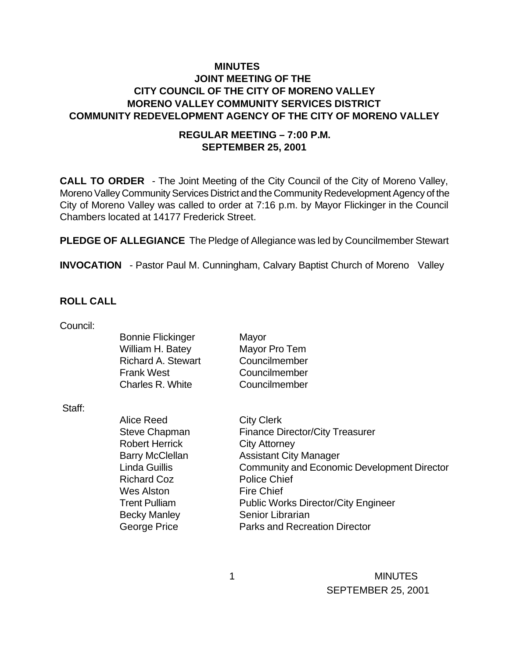### **MINUTES JOINT MEETING OF THE CITY COUNCIL OF THE CITY OF MORENO VALLEY MORENO VALLEY COMMUNITY SERVICES DISTRICT COMMUNITY REDEVELOPMENT AGENCY OF THE CITY OF MORENO VALLEY**

#### **REGULAR MEETING – 7:00 P.M. SEPTEMBER 25, 2001**

**CALL TO ORDER** - The Joint Meeting of the City Council of the City of Moreno Valley, Moreno Valley Community Services District and the Community Redevelopment Agency of the City of Moreno Valley was called to order at 7:16 p.m. by Mayor Flickinger in the Council Chambers located at 14177 Frederick Street.

**PLEDGE OF ALLEGIANCE** The Pledge of Allegiance was led by Councilmember Stewart

**INVOCATION** - Pastor Paul M. Cunningham, Calvary Baptist Church of Moreno Valley

#### **ROLL CALL**

| Council: |                           |                                                    |
|----------|---------------------------|----------------------------------------------------|
|          | <b>Bonnie Flickinger</b>  | Mayor                                              |
|          | William H. Batey          | Mayor Pro Tem                                      |
|          | <b>Richard A. Stewart</b> | Councilmember                                      |
|          | <b>Frank West</b>         | Councilmember                                      |
|          | Charles R. White          | Councilmember                                      |
| Staff:   |                           |                                                    |
|          | Alice Reed                | <b>City Clerk</b>                                  |
|          | <b>Steve Chapman</b>      | <b>Finance Director/City Treasurer</b>             |
|          | <b>Robert Herrick</b>     | <b>City Attorney</b>                               |
|          | <b>Barry McClellan</b>    | <b>Assistant City Manager</b>                      |
|          | Linda Guillis             | <b>Community and Economic Development Director</b> |
|          | <b>Richard Coz</b>        | <b>Police Chief</b>                                |
|          | <b>Wes Alston</b>         | <b>Fire Chief</b>                                  |
|          | <b>Trent Pulliam</b>      | <b>Public Works Director/City Engineer</b>         |
|          | <b>Becky Manley</b>       | Senior Librarian                                   |
|          | George Price              | <b>Parks and Recreation Director</b>               |
|          |                           |                                                    |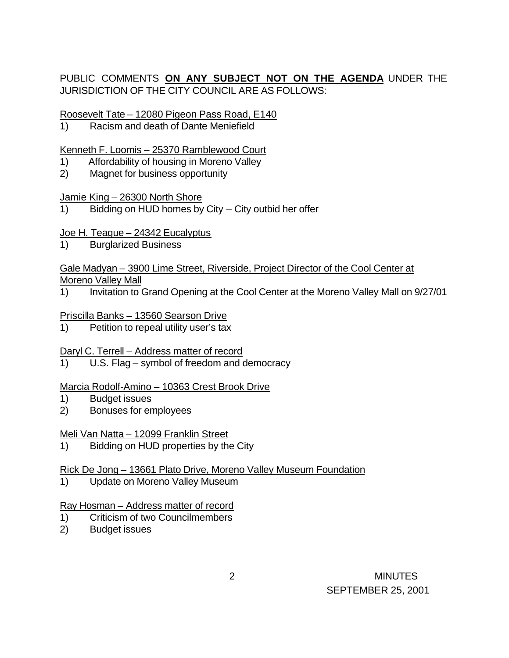# PUBLIC COMMENTS **ON ANY SUBJECT NOT ON THE AGENDA** UNDER THE JURISDICTION OF THE CITY COUNCIL ARE AS FOLLOWS:

Roosevelt Tate – 12080 Pigeon Pass Road, E140

1) Racism and death of Dante Meniefield

### Kenneth F. Loomis – 25370 Ramblewood Court

- 1) Affordability of housing in Moreno Valley
- 2) Magnet for business opportunity

#### Jamie King – 26300 North Shore

1) Bidding on HUD homes by City – City outbid her offer

### Joe H. Teague – 24342 Eucalyptus

1) Burglarized Business

#### Gale Madyan – 3900 Lime Street, Riverside, Project Director of the Cool Center at Moreno Valley Mall

1) Invitation to Grand Opening at the Cool Center at the Moreno Valley Mall on 9/27/01

### Priscilla Banks – 13560 Searson Drive

1) Petition to repeal utility user's tax

# Daryl C. Terrell – Address matter of record

1) U.S. Flag – symbol of freedom and democracy

### Marcia Rodolf-Amino – 10363 Crest Brook Drive

- 1) Budget issues
- 2) Bonuses for employees

# Meli Van Natta – 12099 Franklin Street

1) Bidding on HUD properties by the City

# Rick De Jong – 13661 Plato Drive, Moreno Valley Museum Foundation

1) Update on Moreno Valley Museum

### Ray Hosman – Address matter of record

- 1) Criticism of two Councilmembers
- 2) Budget issues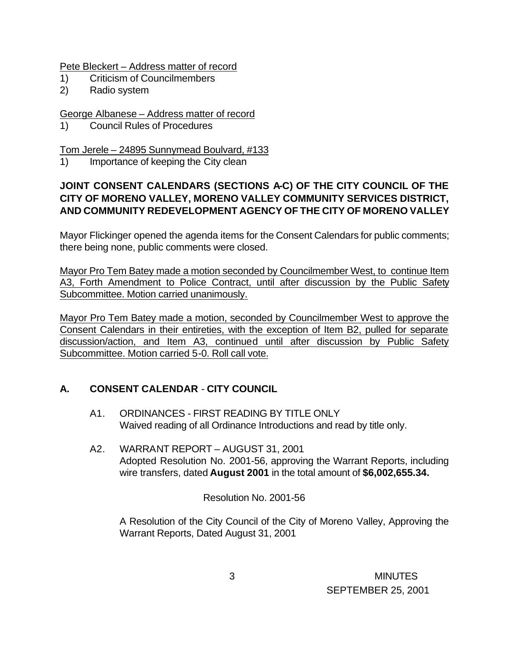Pete Bleckert – Address matter of record

- 1) Criticism of Councilmembers
- 2) Radio system

### George Albanese – Address matter of record

1) Council Rules of Procedures

Tom Jerele – 24895 Sunnymead Boulvard, #133

1) Importance of keeping the City clean

# **JOINT CONSENT CALENDARS (SECTIONS A-C) OF THE CITY COUNCIL OF THE CITY OF MORENO VALLEY, MORENO VALLEY COMMUNITY SERVICES DISTRICT, AND COMMUNITY REDEVELOPMENT AGENCY OF THE CITY OF MORENO VALLEY**

Mayor Flickinger opened the agenda items for the Consent Calendars for public comments; there being none, public comments were closed.

Mayor Pro Tem Batey made a motion seconded by Councilmember West, to continue Item A3, Forth Amendment to Police Contract, until after discussion by the Public Safety Subcommittee. Motion carried unanimously.

Mayor Pro Tem Batey made a motion, seconded by Councilmember West to approve the Consent Calendars in their entireties, with the exception of Item B2, pulled for separate discussion/action, and Item A3, continued until after discussion by Public Safety Subcommittee. Motion carried 5-0. Roll call vote.

# **A. CONSENT CALENDAR** - **CITY COUNCIL**

- A1. ORDINANCES FIRST READING BY TITLE ONLY Waived reading of all Ordinance Introductions and read by title only.
- A2. WARRANT REPORT AUGUST 31, 2001 Adopted Resolution No. 2001-56, approving the Warrant Reports, including wire transfers, dated **August 2001** in the total amount of **\$6,002,655.34.**

# Resolution No. 2001-56

A Resolution of the City Council of the City of Moreno Valley, Approving the Warrant Reports, Dated August 31, 2001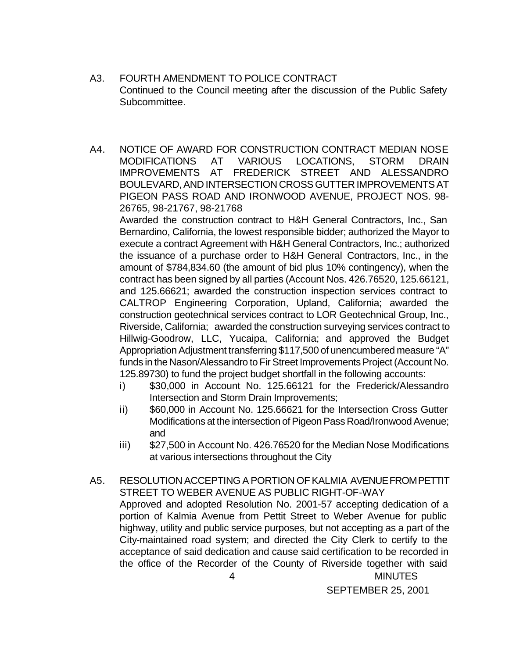- A3. FOURTH AMENDMENT TO POLICE CONTRACT Continued to the Council meeting after the discussion of the Public Safety Subcommittee.
- A4. NOTICE OF AWARD FOR CONSTRUCTION CONTRACT MEDIAN NOSE MODIFICATIONS AT VARIOUS LOCATIONS, STORM DRAIN IMPROVEMENTS AT FREDERICK STREET AND ALESSANDRO BOULEVARD, AND INTERSECTION CROSS GUTTER IMPROVEMENTS AT PIGEON PASS ROAD AND IRONWOOD AVENUE, PROJECT NOS. 98- 26765, 98-21767, 98-21768

Awarded the construction contract to H&H General Contractors, Inc., San Bernardino, California, the lowest responsible bidder; authorized the Mayor to execute a contract Agreement with H&H General Contractors, Inc.; authorized the issuance of a purchase order to H&H General Contractors, Inc., in the amount of \$784,834.60 (the amount of bid plus 10% contingency), when the contract has been signed by all parties (Account Nos. 426.76520, 125.66121, and 125.66621; awarded the construction inspection services contract to CALTROP Engineering Corporation, Upland, California; awarded the construction geotechnical services contract to LOR Geotechnical Group, Inc., Riverside, California; awarded the construction surveying services contract to Hillwig-Goodrow, LLC, Yucaipa, California; and approved the Budget Appropriation Adjustment transferring \$117,500 of unencumbered measure "A" funds in the Nason/Alessandro to Fir Street Improvements Project (Account No. 125.89730) to fund the project budget shortfall in the following accounts:

- i) \$30,000 in Account No. 125.66121 for the Frederick/Alessandro Intersection and Storm Drain Improvements;
- ii) \$60,000 in Account No. 125.66621 for the Intersection Cross Gutter Modifications at the intersection of Pigeon Pass Road/Ironwood Avenue; and
- iii) \$27,500 in Account No. 426.76520 for the Median Nose Modifications at various intersections throughout the City
- 4 MINUTES A5. RESOLUTION ACCEPTING A PORTION OF KALMIA AVENUE FROM PETTIT STREET TO WEBER AVENUE AS PUBLIC RIGHT-OF-WAY Approved and adopted Resolution No. 2001-57 accepting dedication of a portion of Kalmia Avenue from Pettit Street to Weber Avenue for public highway, utility and public service purposes, but not accepting as a part of the City-maintained road system; and directed the City Clerk to certify to the acceptance of said dedication and cause said certification to be recorded in the office of the Recorder of the County of Riverside together with said

SEPTEMBER 25, 2001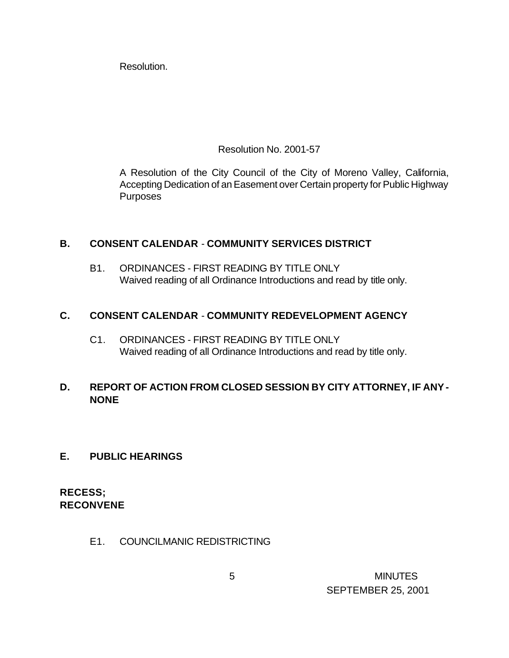Resolution.

Resolution No. 2001-57

A Resolution of the City Council of the City of Moreno Valley, California, Accepting Dedication of an Easement over Certain property for Public Highway Purposes

### **B. CONSENT CALENDAR** - **COMMUNITY SERVICES DISTRICT**

B1. ORDINANCES - FIRST READING BY TITLE ONLY Waived reading of all Ordinance Introductions and read by title only.

# **C. CONSENT CALENDAR** - **COMMUNITY REDEVELOPMENT AGENCY**

C1. ORDINANCES - FIRST READING BY TITLE ONLY Waived reading of all Ordinance Introductions and read by title only.

# **D. REPORT OF ACTION FROM CLOSED SESSION BY CITY ATTORNEY, IF ANY - NONE**

### **E. PUBLIC HEARINGS**

**RECESS; RECONVENE**

E1. COUNCILMANIC REDISTRICTING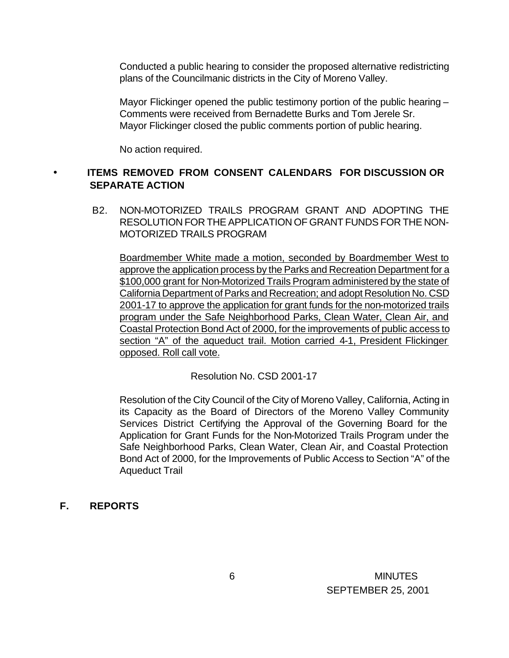Conducted a public hearing to consider the proposed alternative redistricting plans of the Councilmanic districts in the City of Moreno Valley.

Mayor Flickinger opened the public testimony portion of the public hearing – Comments were received from Bernadette Burks and Tom Jerele Sr. Mayor Flickinger closed the public comments portion of public hearing.

No action required.

## • **ITEMS REMOVED FROM CONSENT CALENDARS FOR DISCUSSION OR SEPARATE ACTION**

 B2. NON-MOTORIZED TRAILS PROGRAM GRANT AND ADOPTING THE RESOLUTION FOR THE APPLICATION OF GRANT FUNDS FOR THE NON-MOTORIZED TRAILS PROGRAM

Boardmember White made a motion, seconded by Boardmember West to approve the application process by the Parks and Recreation Department for a \$100,000 grant for Non-Motorized Trails Program administered by the state of California Department of Parks and Recreation; and adopt Resolution No. CSD 2001-17 to approve the application for grant funds for the non-motorized trails program under the Safe Neighborhood Parks, Clean Water, Clean Air, and Coastal Protection Bond Act of 2000, for the improvements of public access to section "A" of the aqueduct trail. Motion carried 4-1, President Flickinger opposed. Roll call vote.

Resolution No. CSD 2001-17

Resolution of the City Council of the City of Moreno Valley, California, Acting in its Capacity as the Board of Directors of the Moreno Valley Community Services District Certifying the Approval of the Governing Board for the Application for Grant Funds for the Non-Motorized Trails Program under the Safe Neighborhood Parks, Clean Water, Clean Air, and Coastal Protection Bond Act of 2000, for the Improvements of Public Access to Section "A" of the Aqueduct Trail

### **F. REPORTS**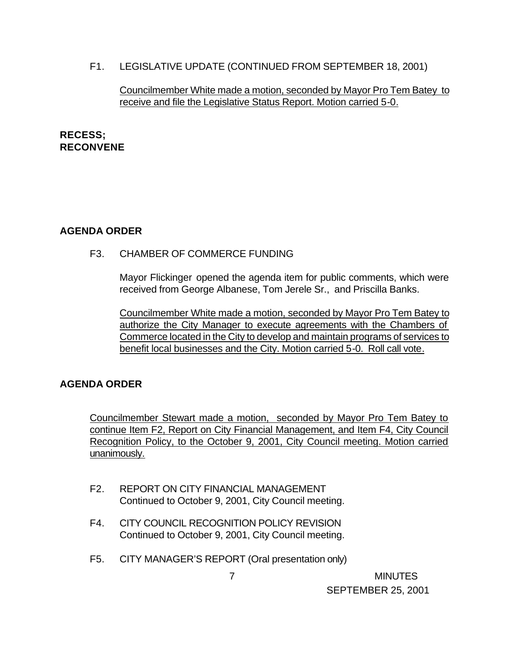F1. LEGISLATIVE UPDATE (CONTINUED FROM SEPTEMBER 18, 2001)

#### Councilmember White made a motion, seconded by Mayor Pro Tem Batey to receive and file the Legislative Status Report. Motion carried 5-0.

### **RECESS; RECONVENE**

# **AGENDA ORDER**

F3. CHAMBER OF COMMERCE FUNDING

Mayor Flickinger opened the agenda item for public comments, which were received from George Albanese, Tom Jerele Sr., and Priscilla Banks.

Councilmember White made a motion, seconded by Mayor Pro Tem Batey to authorize the City Manager to execute agreements with the Chambers of Commerce located in the City to develop and maintain programs of services to benefit local businesses and the City. Motion carried 5-0. Roll call vote.

# **AGENDA ORDER**

Councilmember Stewart made a motion, seconded by Mayor Pro Tem Batey to continue Item F2, Report on City Financial Management, and Item F4, City Council Recognition Policy, to the October 9, 2001, City Council meeting. Motion carried unanimously.

- F2. REPORT ON CITY FINANCIAL MANAGEMENT Continued to October 9, 2001, City Council meeting.
- F4. CITY COUNCIL RECOGNITION POLICY REVISION Continued to October 9, 2001, City Council meeting.
- F5. CITY MANAGER'S REPORT (Oral presentation only)

 7 MINUTES SEPTEMBER 25, 2001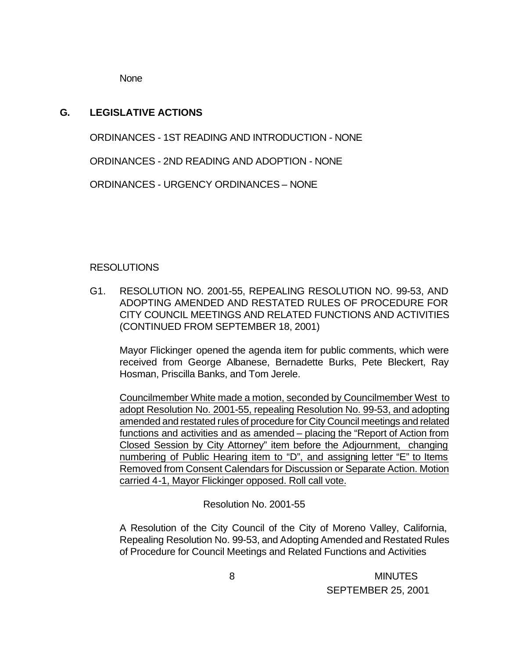None

### **G. LEGISLATIVE ACTIONS**

ORDINANCES - 1ST READING AND INTRODUCTION - NONE

ORDINANCES - 2ND READING AND ADOPTION - NONE

ORDINANCES - URGENCY ORDINANCES – NONE

#### RESOLUTIONS

G1. RESOLUTION NO. 2001-55, REPEALING RESOLUTION NO. 99-53, AND ADOPTING AMENDED AND RESTATED RULES OF PROCEDURE FOR CITY COUNCIL MEETINGS AND RELATED FUNCTIONS AND ACTIVITIES (CONTINUED FROM SEPTEMBER 18, 2001)

Mayor Flickinger opened the agenda item for public comments, which were received from George Albanese, Bernadette Burks, Pete Bleckert, Ray Hosman, Priscilla Banks, and Tom Jerele.

Councilmember White made a motion, seconded by Councilmember West to adopt Resolution No. 2001-55, repealing Resolution No. 99-53, and adopting amended and restated rules of procedure for City Council meetings and related functions and activities and as amended – placing the "Report of Action from Closed Session by City Attorney" item before the Adjournment, changing numbering of Public Hearing item to "D", and assigning letter "E" to Items Removed from Consent Calendars for Discussion or Separate Action. Motion carried 4-1, Mayor Flickinger opposed. Roll call vote.

Resolution No. 2001-55

A Resolution of the City Council of the City of Moreno Valley, California, Repealing Resolution No. 99-53, and Adopting Amended and Restated Rules of Procedure for Council Meetings and Related Functions and Activities

> 8 MINUTES SEPTEMBER 25, 2001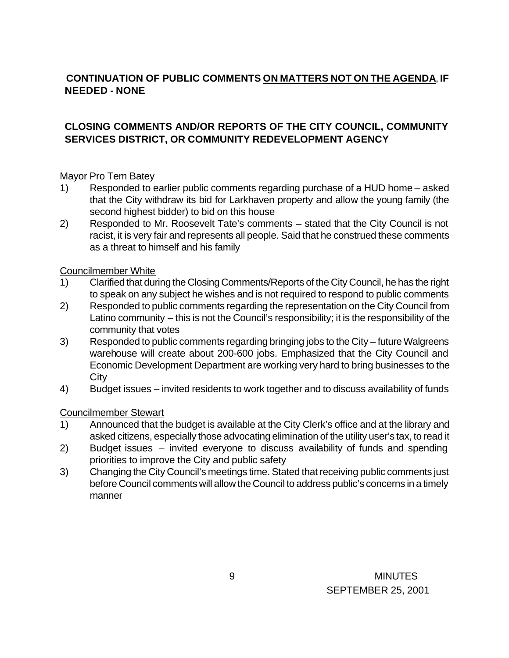# **CONTINUATION OF PUBLIC COMMENTS ON MATTERS NOT ON THE AGENDA**, **IF NEEDED - NONE**

## **CLOSING COMMENTS AND/OR REPORTS OF THE CITY COUNCIL, COMMUNITY SERVICES DISTRICT, OR COMMUNITY REDEVELOPMENT AGENCY**

### Mayor Pro Tem Batey

- 1) Responded to earlier public comments regarding purchase of a HUD home asked that the City withdraw its bid for Larkhaven property and allow the young family (the second highest bidder) to bid on this house
- 2) Responded to Mr. Roosevelt Tate's comments stated that the City Council is not racist, it is very fair and represents all people. Said that he construed these comments as a threat to himself and his family

### Councilmember White

- 1) Clarified that during the Closing Comments/Reports of the City Council, he has the right to speak on any subject he wishes and is not required to respond to public comments
- 2) Responded to public comments regarding the representation on the City Council from Latino community – this is not the Council's responsibility; it is the responsibility of the community that votes
- 3) Responded to public comments regarding bringing jobs to the City future Walgreens warehouse will create about 200-600 jobs. Emphasized that the City Council and Economic Development Department are working very hard to bring businesses to the **City**
- 4) Budget issues invited residents to work together and to discuss availability of funds

### Councilmember Stewart

- 1) Announced that the budget is available at the City Clerk's office and at the library and asked citizens, especially those advocating elimination of the utility user's tax, to read it
- 2) Budget issues invited everyone to discuss availability of funds and spending priorities to improve the City and public safety
- 3) Changing the City Council's meetings time. Stated that receiving public comments just before Council comments will allow the Council to address public's concerns in a timely manner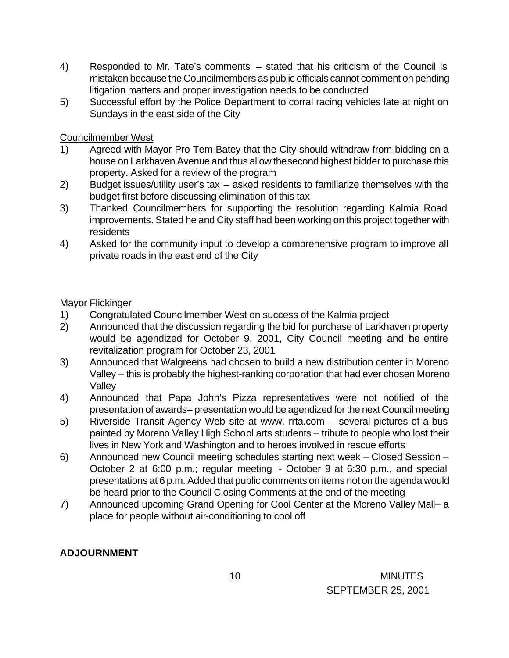- 4) Responded to Mr. Tate's comments stated that his criticism of the Council is mistaken because the Councilmembers as public officials cannot comment on pending litigation matters and proper investigation needs to be conducted
- 5) Successful effort by the Police Department to corral racing vehicles late at night on Sundays in the east side of the City

#### Councilmember West

- 1) Agreed with Mayor Pro Tem Batey that the City should withdraw from bidding on a house on Larkhaven Avenue and thus allow the second highest bidder to purchase this property. Asked for a review of the program
- 2) Budget issues/utility user's tax asked residents to familiarize themselves with the budget first before discussing elimination of this tax
- 3) Thanked Councilmembers for supporting the resolution regarding Kalmia Road improvements. Stated he and City staff had been working on this project together with residents
- 4) Asked for the community input to develop a comprehensive program to improve all private roads in the east end of the City

### Mayor Flickinger

- 1) Congratulated Councilmember West on success of the Kalmia project
- 2) Announced that the discussion regarding the bid for purchase of Larkhaven property would be agendized for October 9, 2001, City Council meeting and the entire revitalization program for October 23, 2001
- 3) Announced that Walgreens had chosen to build a new distribution center in Moreno Valley – this is probably the highest-ranking corporation that had ever chosen Moreno Valley
- 4) Announced that Papa John's Pizza representatives were not notified of the presentation of awards– presentation would be agendized for the next Council meeting
- 5) Riverside Transit Agency Web site at www. rrta.com several pictures of a bus painted by Moreno Valley High School arts students – tribute to people who lost their lives in New York and Washington and to heroes involved in rescue efforts
- 6) Announced new Council meeting schedules starting next week Closed Session October 2 at 6:00 p.m.; regular meeting - October 9 at 6:30 p.m., and special presentations at 6 p.m. Added that public comments on items not on the agenda would be heard prior to the Council Closing Comments at the end of the meeting
- 7) Announced upcoming Grand Opening for Cool Center at the Moreno Valley Mall– a place for people without air-conditioning to cool off

# **ADJOURNMENT**